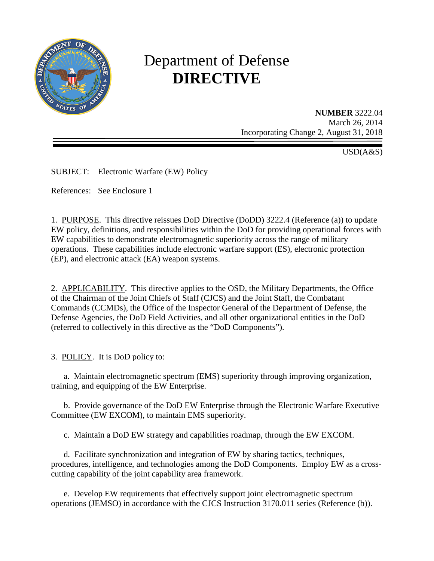

# Department of Defense **DIRECTIVE**

**NUMBER** 3222.04 March 26, 2014 Incorporating Change 2, August 31, 2018

 $\overline{USD}(A\&S)$ 

SUBJECT: Electronic Warfare (EW) Policy

References: See Enclosure 1

1. PURPOSE. This directive reissues DoD Directive (DoDD) 3222.4 (Reference (a)) to update EW policy, definitions, and responsibilities within the DoD for providing operational forces with EW capabilities to demonstrate electromagnetic superiority across the range of military operations. These capabilities include electronic warfare support (ES), electronic protection (EP), and electronic attack (EA) weapon systems.

2. APPLICABILITY. This directive applies to the OSD, the Military Departments, the Office of the Chairman of the Joint Chiefs of Staff (CJCS) and the Joint Staff, the Combatant Commands (CCMDs), the Office of the Inspector General of the Department of Defense, the Defense Agencies, the DoD Field Activities, and all other organizational entities in the DoD (referred to collectively in this directive as the "DoD Components").

3. POLICY. It is DoD policy to:

a. Maintain electromagnetic spectrum (EMS) superiority through improving organization, training, and equipping of the EW Enterprise.

 b. Provide governance of the DoD EW Enterprise through the Electronic Warfare Executive Committee (EW EXCOM), to maintain EMS superiority.

c. Maintain a DoD EW strategy and capabilities roadmap, through the EW EXCOM.

 d*.* Facilitate synchronization and integration of EW by sharing tactics, techniques, procedures, intelligence, and technologies among the DoD Components. Employ EW as a crosscutting capability of the joint capability area framework.

e. Develop EW requirements that effectively support joint electromagnetic spectrum operations (JEMSO) in accordance with the CJCS Instruction 3170.011 series (Reference (b)).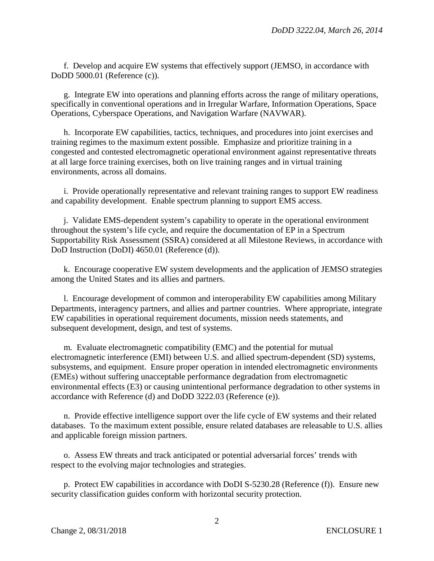f. Develop and acquire EW systems that effectively support (JEMSO, in accordance with DoDD 5000.01 (Reference (c)).

g. Integrate EW into operations and planning efforts across the range of military operations, specifically in conventional operations and in Irregular Warfare, Information Operations, Space Operations, Cyberspace Operations, and Navigation Warfare (NAVWAR).

h. Incorporate EW capabilities, tactics, techniques, and procedures into joint exercises and training regimes to the maximum extent possible. Emphasize and prioritize training in a congested and contested electromagnetic operational environment against representative threats at all large force training exercises, both on live training ranges and in virtual training environments, across all domains.

i. Provide operationally representative and relevant training ranges to support EW readiness and capability development. Enable spectrum planning to support EMS access.

j. Validate EMS-dependent system's capability to operate in the operational environment throughout the system's life cycle, and require the documentation of EP in a Spectrum Supportability Risk Assessment (SSRA) considered at all Milestone Reviews, in accordance with DoD Instruction (DoDI) 4650.01 (Reference (d)).

k. Encourage cooperative EW system developments and the application of JEMSO strategies among the United States and its allies and partners.

l. Encourage development of common and interoperability EW capabilities among Military Departments, interagency partners, and allies and partner countries. Where appropriate, integrate EW capabilities in operational requirement documents, mission needs statements, and subsequent development, design, and test of systems.

m*.* Evaluate electromagnetic compatibility (EMC) and the potential for mutual electromagnetic interference (EMI) between U.S. and allied spectrum-dependent (SD) systems, subsystems, and equipment. Ensure proper operation in intended electromagnetic environments (EMEs) without suffering unacceptable performance degradation from electromagnetic environmental effects (E3) or causing unintentional performance degradation to other systems in accordance with Reference (d) and DoDD 3222.03 (Reference (e)).

n. Provide effective intelligence support over the life cycle of EW systems and their related databases. To the maximum extent possible, ensure related databases are releasable to U.S. allies and applicable foreign mission partners.

o. Assess EW threats and track anticipated or potential adversarial forces' trends with respect to the evolving major technologies and strategies.

p. Protect EW capabilities in accordance with DoDI S-5230.28 (Reference (f)). Ensure new security classification guides conform with horizontal security protection.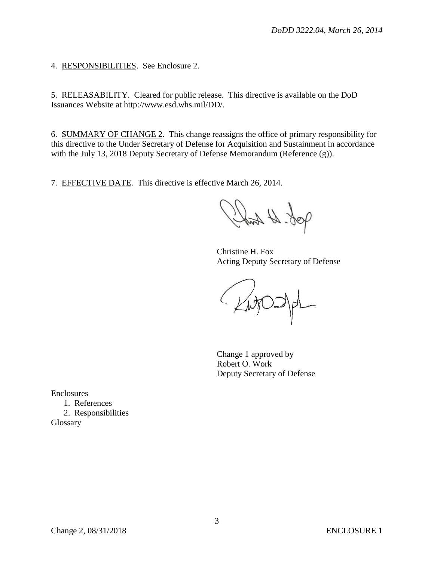4. RESPONSIBILITIES. See Enclosure 2.

5. RELEASABILITY. Cleared for public release. This directive is available on the DoD Issuances Website at http://www.esd.whs.mil/DD/.

6. SUMMARY OF CHANGE 2. This change reassigns the office of primary responsibility for this directive to the Under Secretary of Defense for Acquisition and Sustainment in accordance with the July 13, 2018 Deputy Secretary of Defense Memorandum (Reference (g)).

7. EFFECTIVE DATE. This directive is effective March 26, 2014.

Job. Ht took

Christine H. Fox Acting Deputy Secretary of Defense

Ligos

Change 1 approved by Robert O. Work Deputy Secretary of Defense

Enclosures

1. References 2. Responsibilities Glossary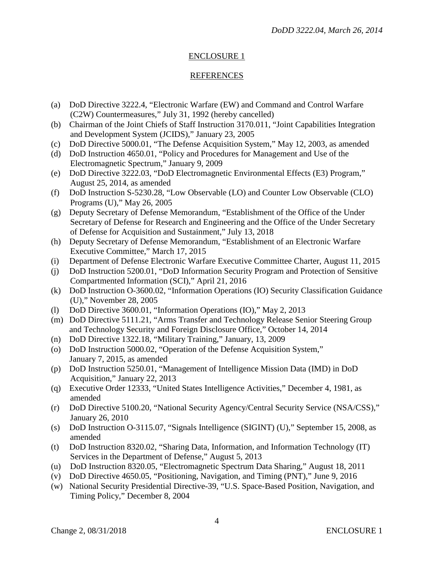# ENCLOSURE 1

## REFERENCES

- (a) DoD Directive 3222.4, "Electronic Warfare (EW) and Command and Control Warfare (C2W) Countermeasures," July 31, 1992 (hereby cancelled)
- (b) Chairman of the Joint Chiefs of Staff Instruction 3170.011, "Joint Capabilities Integration and Development System (JCIDS)," January 23, 2005
- (c) DoD Directive 5000.01, "The Defense Acquisition System," May 12, 2003, as amended
- (d) DoD Instruction 4650.01, "Policy and Procedures for Management and Use of the Electromagnetic Spectrum," January 9, 2009
- (e) DoD Directive 3222.03, "DoD Electromagnetic Environmental Effects (E3) Program," August 25, 2014, as amended
- (f) DoD Instruction S-5230.28, "Low Observable (LO) and Counter Low Observable (CLO) Programs (U)," May 26, 2005
- (g) Deputy Secretary of Defense Memorandum, "Establishment of the Office of the Under Secretary of Defense for Research and Engineering and the Office of the Under Secretary of Defense for Acquisition and Sustainment," July 13, 2018
- (h) Deputy Secretary of Defense Memorandum, "Establishment of an Electronic Warfare Executive Committee," March 17, 2015
- (i) Department of Defense Electronic Warfare Executive Committee Charter, August 11, 2015
- (j) DoD Instruction 5200.01, "DoD Information Security Program and Protection of Sensitive Compartmented Information (SCI)," April 21, 2016
- (k) DoD Instruction O-3600.02, "Information Operations (IO) Security Classification Guidance (U)," November 28, 2005
- (l) DoD Directive 3600.01, "Information Operations (IO)," May 2, 2013
- (m) DoD Directive 5111.21, "Arms Transfer and Technology Release Senior Steering Group and Technology Security and Foreign Disclosure Office," October 14, 2014
- (n) DoD Directive 1322.18, "Military Training," January, 13, 2009
- (o) DoD Instruction 5000.02, "Operation of the Defense Acquisition System," January 7, 2015, as amended
- (p) DoD Instruction 5250.01, "Management of Intelligence Mission Data (IMD) in DoD Acquisition," January 22, 2013
- (q) Executive Order 12333, "United States Intelligence Activities," December 4, 1981, as amended
- (r) DoD Directive 5100.20, "National Security Agency/Central Security Service (NSA/CSS)," January 26, 2010
- (s) DoD Instruction O-3115.07, "Signals Intelligence (SIGINT) (U)," September 15, 2008, as amended
- (t) DoD Instruction 8320.02, "Sharing Data, Information, and Information Technology (IT) Services in the Department of Defense," August 5, 2013
- (u) DoD Instruction 8320.05, "Electromagnetic Spectrum Data Sharing," August 18, 2011
- (v) DoD Directive 4650.05, "Positioning, Navigation, and Timing (PNT)," June 9, 2016
- (w) National Security Presidential Directive-39, "U.S. Space-Based Position, Navigation, and Timing Policy," December 8, 2004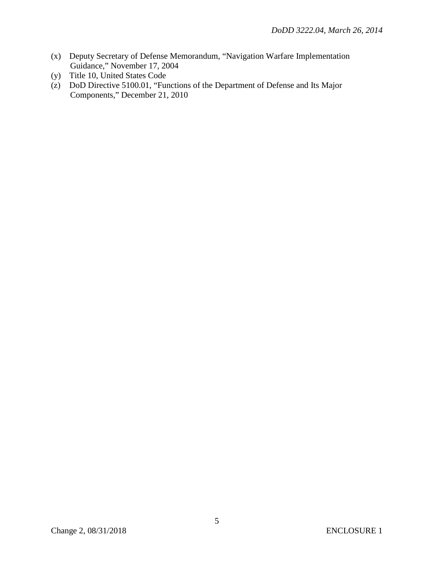- (x) Deputy Secretary of Defense Memorandum, "Navigation Warfare Implementation Guidance," November 17, 2004
- (y) Title 10, United States Code
- (z) DoD Directive 5100.01, "Functions of the Department of Defense and Its Major Components," December 21, 2010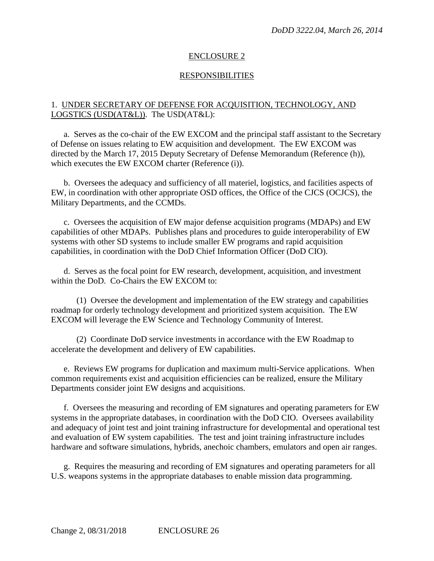### ENCLOSURE 2

#### RESPONSIBILITIES

## 1. UNDER SECRETARY OF DEFENSE FOR ACQUISITION, TECHNOLOGY, AND LOGSTICS (USD(AT&L)). The USD(AT&L):

a. Serves as the co-chair of the EW EXCOM and the principal staff assistant to the Secretary of Defense on issues relating to EW acquisition and development. The EW EXCOM was directed by the March 17, 2015 Deputy Secretary of Defense Memorandum (Reference (h)), which executes the EW EXCOM charter (Reference (i)).

b. Oversees the adequacy and sufficiency of all materiel, logistics, and facilities aspects of EW, in coordination with other appropriate OSD offices, the Office of the CJCS (OCJCS), the Military Departments, and the CCMDs.

 c. Oversees the acquisition of EW major defense acquisition programs (MDAPs) and EW capabilities of other MDAPs. Publishes plans and procedures to guide interoperability of EW systems with other SD systems to include smaller EW programs and rapid acquisition capabilities, in coordination with the DoD Chief Information Officer (DoD CIO).

 d. Serves as the focal point for EW research, development, acquisition, and investment within the DoD. Co-Chairs the EW EXCOM to:

(1) Oversee the development and implementation of the EW strategy and capabilities roadmap for orderly technology development and prioritized system acquisition. The EW EXCOM will leverage the EW Science and Technology Community of Interest.

(2) Coordinate DoD service investments in accordance with the EW Roadmap to accelerate the development and delivery of EW capabilities.

 e. Reviews EW programs for duplication and maximum multi-Service applications. When common requirements exist and acquisition efficiencies can be realized, ensure the Military Departments consider joint EW designs and acquisitions.

f. Oversees the measuring and recording of EM signatures and operating parameters for EW systems in the appropriate databases, in coordination with the DoD CIO. Oversees availability and adequacy of joint test and joint training infrastructure for developmental and operational test and evaluation of EW system capabilities. The test and joint training infrastructure includes hardware and software simulations, hybrids, anechoic chambers, emulators and open air ranges.

g. Requires the measuring and recording of EM signatures and operating parameters for all U.S. weapons systems in the appropriate databases to enable mission data programming.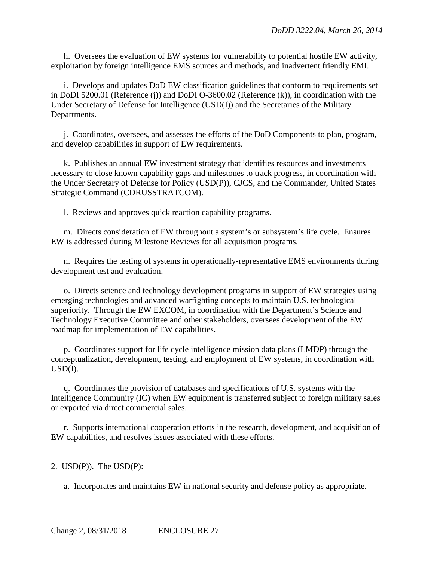h. Oversees the evaluation of EW systems for vulnerability to potential hostile EW activity, exploitation by foreign intelligence EMS sources and methods, and inadvertent friendly EMI.

i. Develops and updates DoD EW classification guidelines that conform to requirements set in DoDI 5200.01 (Reference (j)) and DoDI O-3600.02 (Reference (k)), in coordination with the Under Secretary of Defense for Intelligence (USD(I)) and the Secretaries of the Military Departments.

j. Coordinates, oversees, and assesses the efforts of the DoD Components to plan, program, and develop capabilities in support of EW requirements.

k. Publishes an annual EW investment strategy that identifies resources and investments necessary to close known capability gaps and milestones to track progress, in coordination with the Under Secretary of Defense for Policy (USD(P)), CJCS, and the Commander, United States Strategic Command (CDRUSSTRATCOM).

l. Reviews and approves quick reaction capability programs.

m. Directs consideration of EW throughout a system's or subsystem's life cycle. Ensures EW is addressed during Milestone Reviews for all acquisition programs.

n. Requires the testing of systems in operationally-representative EMS environments during development test and evaluation.

o. Directs science and technology development programs in support of EW strategies using emerging technologies and advanced warfighting concepts to maintain U.S. technological superiority. Through the EW EXCOM, in coordination with the Department's Science and Technology Executive Committee and other stakeholders, oversees development of the EW roadmap for implementation of EW capabilities.

p. Coordinates support for life cycle intelligence mission data plans (LMDP) through the conceptualization, development, testing, and employment of EW systems, in coordination with USD(I).

q. Coordinates the provision of databases and specifications of U.S. systems with the Intelligence Community (IC) when EW equipment is transferred subject to foreign military sales or exported via direct commercial sales.

r. Supports international cooperation efforts in the research, development, and acquisition of EW capabilities, and resolves issues associated with these efforts.

#### 2. USD(P)). The USD(P):

a. Incorporates and maintains EW in national security and defense policy as appropriate.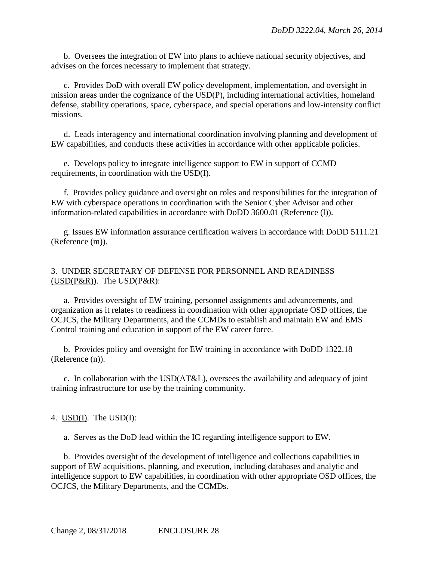b. Oversees the integration of EW into plans to achieve national security objectives, and advises on the forces necessary to implement that strategy.

c. Provides DoD with overall EW policy development, implementation, and oversight in mission areas under the cognizance of the USD(P), including international activities, homeland defense, stability operations, space, cyberspace, and special operations and low-intensity conflict missions.

d. Leads interagency and international coordination involving planning and development of EW capabilities, and conducts these activities in accordance with other applicable policies.

e. Develops policy to integrate intelligence support to EW in support of CCMD requirements, in coordination with the USD(I).

f. Provides policy guidance and oversight on roles and responsibilities for the integration of EW with cyberspace operations in coordination with the Senior Cyber Advisor and other information-related capabilities in accordance with DoDD 3600.01 (Reference (l)).

g. Issues EW information assurance certification waivers in accordance with DoDD 5111.21 (Reference (m)).

## 3. UNDER SECRETARY OF DEFENSE FOR PERSONNEL AND READINESS  $(USD(P&R))$ . The  $USD(P&R)$ :

a. Provides oversight of EW training, personnel assignments and advancements, and organization as it relates to readiness in coordination with other appropriate OSD offices, the OCJCS, the Military Departments, and the CCMDs to establish and maintain EW and EMS Control training and education in support of the EW career force.

b. Provides policy and oversight for EW training in accordance with DoDD 1322.18 (Reference (n)).

c. In collaboration with the USD(AT&L), oversees the availability and adequacy of joint training infrastructure for use by the training community.

## 4. USD(I). The USD(I):

a. Serves as the DoD lead within the IC regarding intelligence support to EW.

b. Provides oversight of the development of intelligence and collections capabilities in support of EW acquisitions, planning, and execution, including databases and analytic and intelligence support to EW capabilities, in coordination with other appropriate OSD offices, the OCJCS, the Military Departments, and the CCMDs.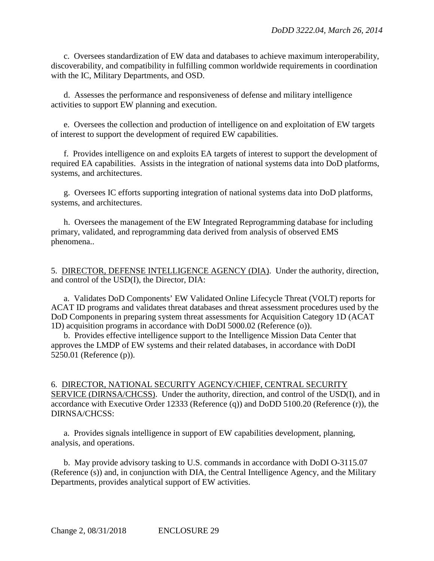c. Oversees standardization of EW data and databases to achieve maximum interoperability, discoverability, and compatibility in fulfilling common worldwide requirements in coordination with the IC, Military Departments, and OSD.

d. Assesses the performance and responsiveness of defense and military intelligence activities to support EW planning and execution.

e. Oversees the collection and production of intelligence on and exploitation of EW targets of interest to support the development of required EW capabilities.

f. Provides intelligence on and exploits EA targets of interest to support the development of required EA capabilities. Assists in the integration of national systems data into DoD platforms, systems, and architectures.

g. Oversees IC efforts supporting integration of national systems data into DoD platforms, systems, and architectures.

h. Oversees the management of the EW Integrated Reprogramming database for including primary, validated, and reprogramming data derived from analysis of observed EMS phenomena..

5. DIRECTOR, DEFENSE INTELLIGENCE AGENCY (DIA). Under the authority, direction, and control of the USD(I), the Director, DIA:

a. Validates DoD Components' EW Validated Online Lifecycle Threat (VOLT) reports for ACAT ID programs and validates threat databases and threat assessment procedures used by the DoD Components in preparing system threat assessments for Acquisition Category 1D (ACAT 1D) acquisition programs in accordance with DoDI 5000.02 (Reference (o)).

b. Provides effective intelligence support to the Intelligence Mission Data Center that approves the LMDP of EW systems and their related databases, in accordance with DoDI 5250.01 (Reference (p)).

6. DIRECTOR, NATIONAL SECURITY AGENCY/CHIEF, CENTRAL SECURITY SERVICE (DIRNSA/CHCSS). Under the authority, direction, and control of the USD(I), and in accordance with Executive Order 12333 (Reference (q)) and DoDD 5100.20 (Reference (r)), the DIRNSA/CHCSS:

a. Provides signals intelligence in support of EW capabilities development, planning, analysis, and operations.

b. May provide advisory tasking to U.S. commands in accordance with DoDI O-3115.07 (Reference (s)) and, in conjunction with DIA, the Central Intelligence Agency, and the Military Departments, provides analytical support of EW activities.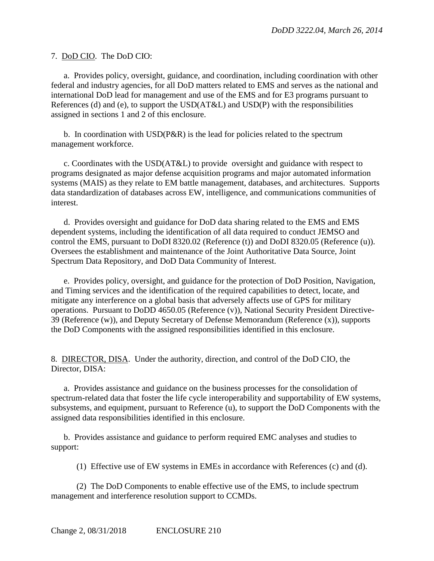7. DoD CIO. The DoD CIO:

a. Provides policy, oversight, guidance, and coordination, including coordination with other federal and industry agencies, for all DoD matters related to EMS and serves as the national and international DoD lead for management and use of the EMS and for E3 programs pursuant to References (d) and (e), to support the USD(AT&L) and USD(P) with the responsibilities assigned in sections 1 and 2 of this enclosure.

b. In coordination with USD(P&R) is the lead for policies related to the spectrum management workforce.

c. Coordinates with the USD(AT&L) to provide oversight and guidance with respect to programs designated as major defense acquisition programs and major automated information systems (MAIS) as they relate to EM battle management, databases, and architectures. Supports data standardization of databases across EW, intelligence, and communications communities of interest.

d. Provides oversight and guidance for DoD data sharing related to the EMS and EMS dependent systems, including the identification of all data required to conduct JEMSO and control the EMS, pursuant to DoDI 8320.02 (Reference (t)) and DoDI 8320.05 (Reference (u)). Oversees the establishment and maintenance of the Joint Authoritative Data Source, Joint Spectrum Data Repository, and DoD Data Community of Interest.

e. Provides policy, oversight, and guidance for the protection of DoD Position, Navigation, and Timing services and the identification of the required capabilities to detect, locate, and mitigate any interference on a global basis that adversely affects use of GPS for military operations. Pursuant to DoDD 4650.05 (Reference (v)), National Security President Directive-39 (Reference (w)), and Deputy Secretary of Defense Memorandum (Reference (x)), supports the DoD Components with the assigned responsibilities identified in this enclosure.

8. DIRECTOR, DISA. Under the authority, direction, and control of the DoD CIO, the Director, DISA:

a. Provides assistance and guidance on the business processes for the consolidation of spectrum-related data that foster the life cycle interoperability and supportability of EW systems, subsystems, and equipment, pursuant to Reference (u), to support the DoD Components with the assigned data responsibilities identified in this enclosure.

b. Provides assistance and guidance to perform required EMC analyses and studies to support:

(1) Effective use of EW systems in EMEs in accordance with References (c) and (d).

(2) The DoD Components to enable effective use of the EMS, to include spectrum management and interference resolution support to CCMDs.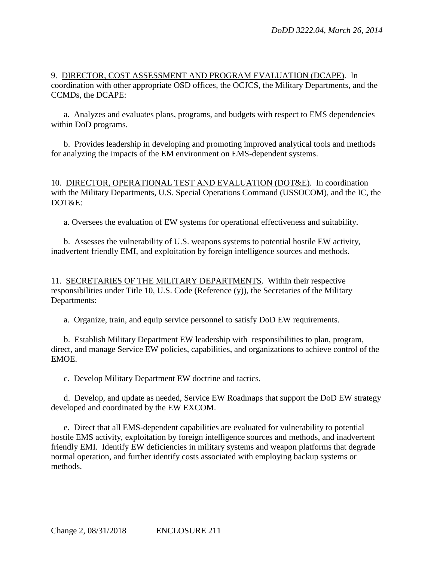9. DIRECTOR, COST ASSESSMENT AND PROGRAM EVALUATION (DCAPE). In coordination with other appropriate OSD offices, the OCJCS, the Military Departments, and the CCMDs, the DCAPE:

a. Analyzes and evaluates plans, programs, and budgets with respect to EMS dependencies within DoD programs.

b. Provides leadership in developing and promoting improved analytical tools and methods for analyzing the impacts of the EM environment on EMS-dependent systems.

10. DIRECTOR, OPERATIONAL TEST AND EVALUATION (DOT&E). In coordination with the Military Departments, U.S. Special Operations Command (USSOCOM), and the IC, the DOT&E:

a. Oversees the evaluation of EW systems for operational effectiveness and suitability.

b. Assesses the vulnerability of U.S. weapons systems to potential hostile EW activity, inadvertent friendly EMI, and exploitation by foreign intelligence sources and methods.

11. SECRETARIES OF THE MILITARY DEPARTMENTS. Within their respective responsibilities under Title 10, U.S. Code (Reference (y)), the Secretaries of the Military Departments:

a. Organize, train, and equip service personnel to satisfy DoD EW requirements.

b. Establish Military Department EW leadership with responsibilities to plan, program, direct, and manage Service EW policies, capabilities, and organizations to achieve control of the EMOE.

c. Develop Military Department EW doctrine and tactics.

d. Develop, and update as needed, Service EW Roadmaps that support the DoD EW strategy developed and coordinated by the EW EXCOM.

e. Direct that all EMS-dependent capabilities are evaluated for vulnerability to potential hostile EMS activity, exploitation by foreign intelligence sources and methods, and inadvertent friendly EMI. Identify EW deficiencies in military systems and weapon platforms that degrade normal operation, and further identify costs associated with employing backup systems or methods.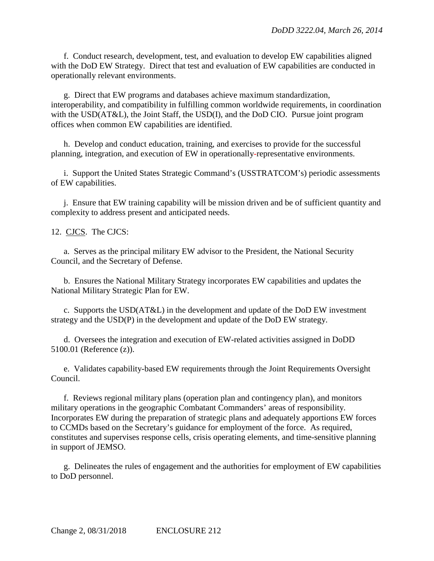f. Conduct research, development, test, and evaluation to develop EW capabilities aligned with the DoD EW Strategy. Direct that test and evaluation of EW capabilities are conducted in operationally relevant environments.

g. Direct that EW programs and databases achieve maximum standardization, interoperability, and compatibility in fulfilling common worldwide requirements, in coordination with the USD(AT&L), the Joint Staff, the USD(I), and the DoD CIO. Pursue joint program offices when common EW capabilities are identified.

h. Develop and conduct education, training, and exercises to provide for the successful planning, integration, and execution of EW in operationally*-*representative environments.

i. Support the United States Strategic Command's (USSTRATCOM's) periodic assessments of EW capabilities.

j. Ensure that EW training capability will be mission driven and be of sufficient quantity and complexity to address present and anticipated needs.

12. CJCS. The CJCS:

a. Serves as the principal military EW advisor to the President, the National Security Council, and the Secretary of Defense.

b. Ensures the National Military Strategy incorporates EW capabilities and updates the National Military Strategic Plan for EW.

c. Supports the USD(AT&L) in the development and update of the DoD EW investment strategy and the USD(P) in the development and update of the DoD EW strategy.

d. Oversees the integration and execution of EW-related activities assigned in DoDD 5100.01 (Reference (z)).

e. Validates capability-based EW requirements through the Joint Requirements Oversight Council.

f. Reviews regional military plans (operation plan and contingency plan), and monitors military operations in the geographic Combatant Commanders' areas of responsibility. Incorporates EW during the preparation of strategic plans and adequately apportions EW forces to CCMDs based on the Secretary's guidance for employment of the force. As required, constitutes and supervises response cells, crisis operating elements, and time-sensitive planning in support of JEMSO.

g. Delineates the rules of engagement and the authorities for employment of EW capabilities to DoD personnel.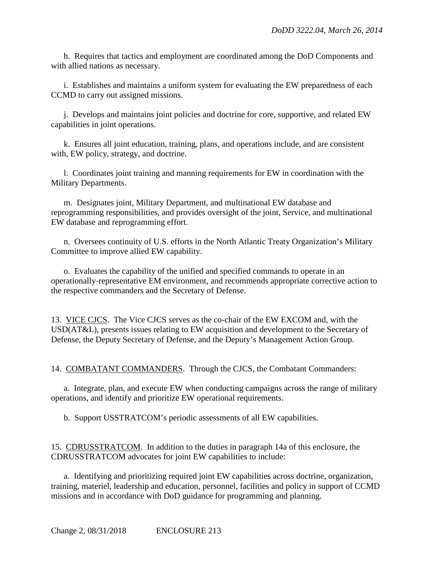h. Requires that tactics and employment are coordinated among the DoD Components and with allied nations as necessary.

i. Establishes and maintains a uniform system for evaluating the EW preparedness of each CCMD to carry out assigned missions.

j. Develops and maintains joint policies and doctrine for core, supportive, and related EW capabilities in joint operations.

k. Ensures all joint education, training, plans, and operations include, and are consistent with, EW policy, strategy, and doctrine.

l. Coordinates joint training and manning requirements for EW in coordination with the Military Departments.

m. Designates joint, Military Department, and multinational EW database and reprogramming responsibilities, and provides oversight of the joint, Service, and multinational EW database and reprogramming effort.

n. Oversees continuity of U.S. efforts in the North Atlantic Treaty Organization's Military Committee to improve allied EW capability.

o. Evaluates the capability of the unified and specified commands to operate in an operationally*-*representative EM environment, and recommends appropriate corrective action to the respective commanders and the Secretary of Defense.

13.VICE CJCS. The Vice CJCS serves as the co-chair of the EW EXCOM and, with the USD(AT&L), presents issues relating to EW acquisition and development to the Secretary of Defense, the Deputy Secretary of Defense, and the Deputy's Management Action Group.

14. COMBATANT COMMANDERS. Through the CJCS, the Combatant Commanders:

a. Integrate, plan, and execute EW when conducting campaigns across the range of military operations, and identify and prioritize EW operational requirements.

b. Support USSTRATCOM's periodic assessments of all EW capabilities.

15. CDRUSSTRATCOM. In addition to the duties in paragraph 14a of this enclosure, the CDRUSSTRATCOM advocates for joint EW capabilities to include:

a. Identifying and prioritizing required joint EW capabilities across doctrine, organization, training, materiel, leadership and education, personnel, facilities and policy in support of CCMD missions and in accordance with DoD guidance for programming and planning.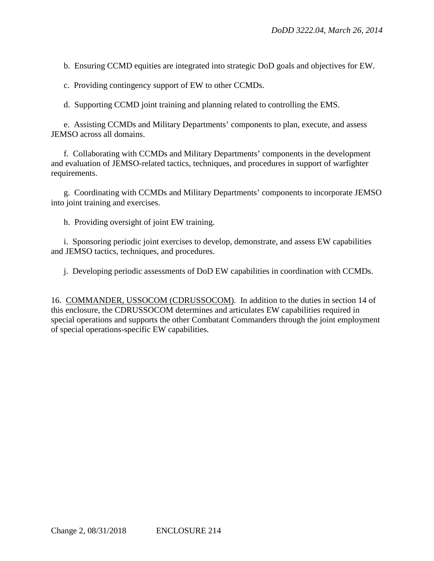b. Ensuring CCMD equities are integrated into strategic DoD goals and objectives for EW.

c. Providing contingency support of EW to other CCMDs.

d. Supporting CCMD joint training and planning related to controlling the EMS.

e. Assisting CCMDs and Military Departments' components to plan, execute, and assess JEMSO across all domains.

f. Collaborating with CCMDs and Military Departments' components in the development and evaluation of JEMSO-related tactics, techniques, and procedures in support of warfighter requirements.

g. Coordinating with CCMDs and Military Departments' components to incorporate JEMSO into joint training and exercises.

h. Providing oversight of joint EW training.

i. Sponsoring periodic joint exercises to develop, demonstrate, and assess EW capabilities and JEMSO tactics, techniques, and procedures.

j. Developing periodic assessments of DoD EW capabilities in coordination with CCMDs.

16. COMMANDER, USSOCOM (CDRUSSOCOM). In addition to the duties in section 14 of this enclosure, the CDRUSSOCOM determines and articulates EW capabilities required in special operations and supports the other Combatant Commanders through the joint employment of special operations-specific EW capabilities.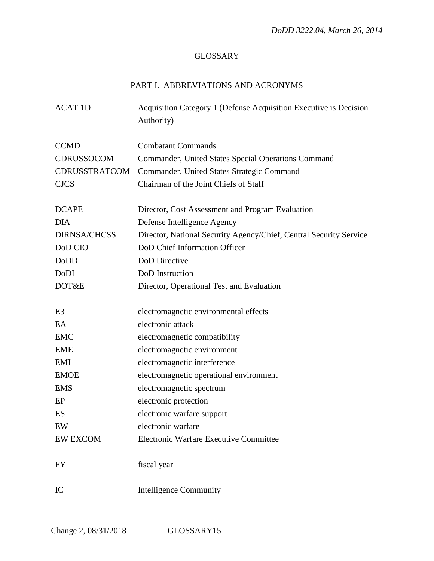# **GLOSSARY**

# PART I. ABBREVIATIONS AND ACRONYMS

| <b>ACAT 1D</b>      | Acquisition Category 1 (Defense Acquisition Executive is Decision<br>Authority) |
|---------------------|---------------------------------------------------------------------------------|
|                     |                                                                                 |
| <b>CCMD</b>         | <b>Combatant Commands</b>                                                       |
| CDRUSSOCOM          | Commander, United States Special Operations Command                             |
| CDRUSSTRATCOM       | Commander, United States Strategic Command                                      |
| <b>CJCS</b>         | Chairman of the Joint Chiefs of Staff                                           |
|                     |                                                                                 |
| <b>DCAPE</b>        | Director, Cost Assessment and Program Evaluation                                |
| <b>DIA</b>          | Defense Intelligence Agency                                                     |
| <b>DIRNSA/CHCSS</b> | Director, National Security Agency/Chief, Central Security Service              |
| DoD CIO             | DoD Chief Information Officer                                                   |
| DoDD                | DoD Directive                                                                   |
| DoDI                | DoD Instruction                                                                 |
| DOT&E               | Director, Operational Test and Evaluation                                       |
|                     |                                                                                 |
| E <sub>3</sub>      | electromagnetic environmental effects                                           |
| EA                  | electronic attack                                                               |
| <b>EMC</b>          | electromagnetic compatibility                                                   |
| <b>EME</b>          | electromagnetic environment                                                     |
| EMI                 | electromagnetic interference                                                    |
| <b>EMOE</b>         | electromagnetic operational environment                                         |
| <b>EMS</b>          | electromagnetic spectrum                                                        |
| EP                  | electronic protection                                                           |
| ES                  | electronic warfare support                                                      |
| EW                  | electronic warfare                                                              |
| <b>EW EXCOM</b>     | Electronic Warfare Executive Committee                                          |
| FY                  | fiscal year                                                                     |
| IC                  | <b>Intelligence Community</b>                                                   |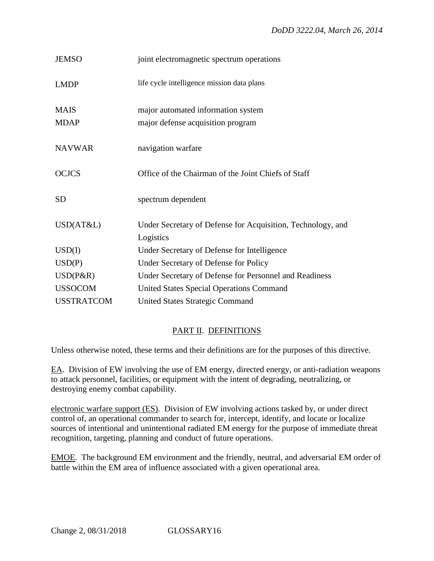| <b>JEMSO</b>      | joint electromagnetic spectrum operations                   |
|-------------------|-------------------------------------------------------------|
| <b>LMDP</b>       | life cycle intelligence mission data plans                  |
| <b>MAIS</b>       | major automated information system                          |
| <b>MDAP</b>       | major defense acquisition program                           |
| <b>NAVWAR</b>     | navigation warfare                                          |
| <b>OCJCS</b>      | Office of the Chairman of the Joint Chiefs of Staff         |
| <b>SD</b>         | spectrum dependent                                          |
| USD(AT&L)         | Under Secretary of Defense for Acquisition, Technology, and |
|                   | Logistics                                                   |
| USD(I)            | Under Secretary of Defense for Intelligence                 |
| USD(P)            | Under Secretary of Defense for Policy                       |
| $USD(P\&R)$       | Under Secretary of Defense for Personnel and Readiness      |
| <b>USSOCOM</b>    | <b>United States Special Operations Command</b>             |
| <b>USSTRATCOM</b> | <b>United States Strategic Command</b>                      |

# PART II. DEFINITIONS

Unless otherwise noted, these terms and their definitions are for the purposes of this directive.

EA. Division of EW involving the use of EM energy, directed energy, or anti-radiation weapons to attack personnel, facilities, or equipment with the intent of degrading, neutralizing, or destroying enemy combat capability.

electronic warfare support (ES). Division of EW involving actions tasked by, or under direct control of, an operational commander to search for, intercept, identify, and locate or localize sources of intentional and unintentional radiated EM energy for the purpose of immediate threat recognition, targeting, planning and conduct of future operations.

EMOE. The background EM environment and the friendly, neutral, and adversarial EM order of battle within the EM area of influence associated with a given operational area.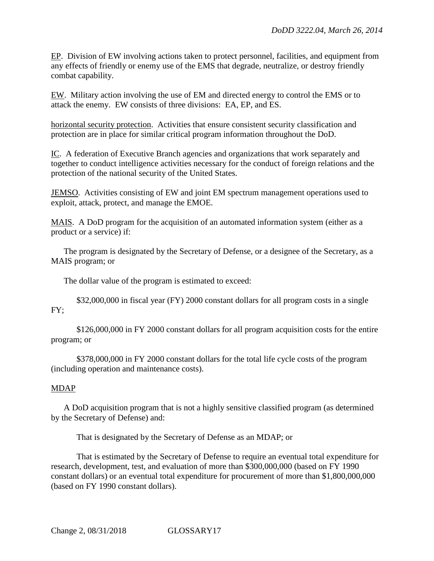EP. Division of EW involving actions taken to protect personnel, facilities, and equipment from any effects of friendly or enemy use of the EMS that degrade, neutralize, or destroy friendly combat capability.

EW. Military action involving the use of EM and directed energy to control the EMS or to attack the enemy. EW consists of three divisions: EA, EP, and ES.

horizontal security protection. Activities that ensure consistent security classification and protection are in place for similar critical program information throughout the DoD.

IC. A federation of Executive Branch agencies and organizations that work separately and together to conduct intelligence activities necessary for the conduct of foreign relations and the protection of the national security of the United States.

JEMSO. Activities consisting of EW and joint EM spectrum management operations used to exploit, attack, protect, and manage the EMOE.

MAIS. A DoD program for the acquisition of an automated information system (either as a product or a service) if:

The program is designated by the Secretary of Defense, or a designee of the Secretary, as a MAIS program; or

The dollar value of the program is estimated to exceed:

\$32,000,000 in fiscal year (FY) 2000 constant dollars for all program costs in a single FY;

\$126,000,000 in FY 2000 constant dollars for all program acquisition costs for the entire program; or

\$378,000,000 in FY 2000 constant dollars for the total life cycle costs of the program (including operation and maintenance costs).

## MDAP

A DoD acquisition program that is not a highly sensitive classified program (as determined by the Secretary of Defense) and:

That is designated by the Secretary of Defense as an MDAP; or

That is estimated by the Secretary of Defense to require an eventual total expenditure for research, development, test, and evaluation of more than \$300,000,000 (based on FY 1990 constant dollars) or an eventual total expenditure for procurement of more than \$1,800,000,000 (based on FY 1990 constant dollars).